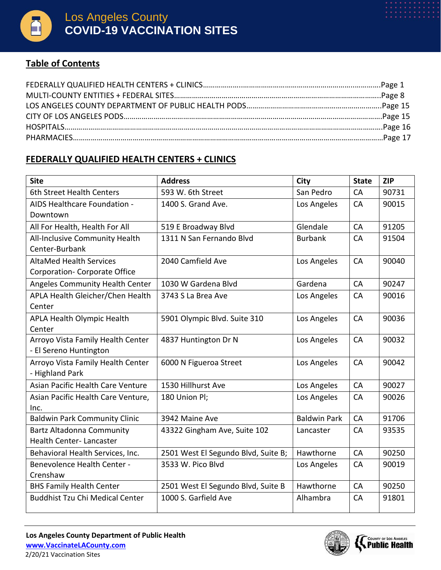

#### **Table of Contents**

### **FEDERALLY QUALIFIED HEALTH CENTERS + CLINICS**

| <b>Site</b>                            | <b>Address</b>                      | City                | <b>State</b> | <b>ZIP</b> |
|----------------------------------------|-------------------------------------|---------------------|--------------|------------|
| 6th Street Health Centers              | 593 W. 6th Street                   | San Pedro           | CA           | 90731      |
| AIDS Healthcare Foundation -           | 1400 S. Grand Ave.                  | Los Angeles         | CA           | 90015      |
| Downtown                               |                                     |                     |              |            |
| All For Health, Health For All         | 519 E Broadway Blvd                 | Glendale            | CA           | 91205      |
| All-Inclusive Community Health         | 1311 N San Fernando Blvd            | <b>Burbank</b>      | CA           | 91504      |
| Center-Burbank                         |                                     |                     |              |            |
| <b>AltaMed Health Services</b>         | 2040 Camfield Ave                   | Los Angeles         | CA           | 90040      |
| <b>Corporation- Corporate Office</b>   |                                     |                     |              |            |
| Angeles Community Health Center        | 1030 W Gardena Blvd                 | Gardena             | CA           | 90247      |
| APLA Health Gleicher/Chen Health       | 3743 S La Brea Ave                  | Los Angeles         | CA           | 90016      |
| Center                                 |                                     |                     |              |            |
| <b>APLA Health Olympic Health</b>      | 5901 Olympic Blvd. Suite 310        | Los Angeles         | CA           | 90036      |
| Center                                 |                                     |                     |              |            |
| Arroyo Vista Family Health Center      | 4837 Huntington Dr N                | Los Angeles         | CA           | 90032      |
| - El Sereno Huntington                 |                                     |                     |              |            |
| Arroyo Vista Family Health Center      | 6000 N Figueroa Street              | Los Angeles         | CA           | 90042      |
| - Highland Park                        |                                     |                     |              |            |
| Asian Pacific Health Care Venture      | 1530 Hillhurst Ave                  | Los Angeles         | CA           | 90027      |
| Asian Pacific Health Care Venture,     | 180 Union Pl;                       | Los Angeles         | CA           | 90026      |
| Inc.                                   |                                     |                     |              |            |
| <b>Baldwin Park Community Clinic</b>   | 3942 Maine Ave                      | <b>Baldwin Park</b> | CA           | 91706      |
| <b>Bartz Altadonna Community</b>       | 43322 Gingham Ave, Suite 102        | Lancaster           | CA           | 93535      |
| Health Center-Lancaster                |                                     |                     |              |            |
| Behavioral Health Services, Inc.       | 2501 West El Segundo Blvd, Suite B; | Hawthorne           | CA           | 90250      |
| Benevolence Health Center -            | 3533 W. Pico Blvd                   | Los Angeles         | CA           | 90019      |
| Crenshaw                               |                                     |                     |              |            |
| <b>BHS Family Health Center</b>        | 2501 West El Segundo Blvd, Suite B  | Hawthorne           | CA           | 90250      |
| <b>Buddhist Tzu Chi Medical Center</b> | 1000 S. Garfield Ave                | Alhambra            | CA           | 91801      |
|                                        |                                     |                     |              |            |

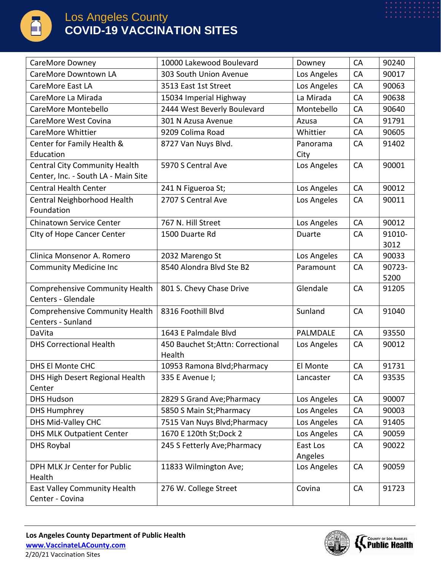

| CareMore Downey                                     | 10000 Lakewood Boulevard           | Downey      | CA        | 90240  |
|-----------------------------------------------------|------------------------------------|-------------|-----------|--------|
| CareMore Downtown LA                                | 303 South Union Avenue             | Los Angeles | CA        | 90017  |
| CareMore East LA                                    | 3513 East 1st Street               | Los Angeles | CA        | 90063  |
| CareMore La Mirada                                  | 15034 Imperial Highway             | La Mirada   | CA        | 90638  |
| CareMore Montebello                                 | 2444 West Beverly Boulevard        | Montebello  | CA        | 90640  |
| CareMore West Covina                                | 301 N Azusa Avenue                 | Azusa       | CA        | 91791  |
| CareMore Whittier                                   | 9209 Colima Road                   | Whittier    | CA        | 90605  |
| Center for Family Health &                          | 8727 Van Nuys Blvd.                | Panorama    | <b>CA</b> | 91402  |
| Education                                           |                                    | City        |           |        |
| <b>Central City Community Health</b>                | 5970 S Central Ave                 | Los Angeles | CA        | 90001  |
| Center, Inc. - South LA - Main Site                 |                                    |             |           |        |
| <b>Central Health Center</b>                        | 241 N Figueroa St;                 | Los Angeles | <b>CA</b> | 90012  |
| Central Neighborhood Health                         | 2707 S Central Ave                 | Los Angeles | CA        | 90011  |
| Foundation                                          |                                    |             |           |        |
| <b>Chinatown Service Center</b>                     | 767 N. Hill Street                 | Los Angeles | CA        | 90012  |
| City of Hope Cancer Center                          | 1500 Duarte Rd                     | Duarte      | CA        | 91010- |
|                                                     |                                    |             |           | 3012   |
| Clinica Monsenor A. Romero                          | 2032 Marengo St                    | Los Angeles | CA        | 90033  |
| <b>Community Medicine Inc</b>                       | 8540 Alondra Blvd Ste B2           | Paramount   | CA        | 90723- |
|                                                     |                                    |             |           | 5200   |
| Comprehensive Community Health                      | 801 S. Chevy Chase Drive           | Glendale    | CA        | 91205  |
| Centers - Glendale                                  |                                    |             |           |        |
| Comprehensive Community Health<br>Centers - Sunland | 8316 Foothill Blvd                 | Sunland     | CA        | 91040  |
| DaVita                                              | 1643 E Palmdale Blvd               | PALMDALE    | CA        | 93550  |
| <b>DHS Correctional Health</b>                      | 450 Bauchet St; Attn: Correctional | Los Angeles | <b>CA</b> | 90012  |
|                                                     | Health                             |             |           |        |
| DHS El Monte CHC                                    | 10953 Ramona Blvd; Pharmacy        | El Monte    | CA        | 91731  |
| DHS High Desert Regional Health                     | 335 E Avenue I;                    | Lancaster   | CA        | 93535  |
| Center                                              |                                    |             |           |        |
| <b>DHS Hudson</b>                                   | 2829 S Grand Ave; Pharmacy         | Los Angeles | <b>CA</b> | 90007  |
| <b>DHS Humphrey</b>                                 | 5850 S Main St; Pharmacy           | Los Angeles | <b>CA</b> | 90003  |
| DHS Mid-Valley CHC                                  | 7515 Van Nuys Blvd; Pharmacy       | Los Angeles | CA        | 91405  |
| <b>DHS MLK Outpatient Center</b>                    | 1670 E 120th St; Dock 2            | Los Angeles | CA        | 90059  |
| <b>DHS Roybal</b>                                   | 245 S Fetterly Ave; Pharmacy       | East Los    | CA        | 90022  |
|                                                     |                                    | Angeles     |           |        |
| DPH MLK Jr Center for Public                        | 11833 Wilmington Ave;              | Los Angeles | <b>CA</b> | 90059  |
| Health                                              |                                    |             |           |        |
| East Valley Community Health                        | 276 W. College Street              | Covina      | CA        | 91723  |
| Center - Covina                                     |                                    |             |           |        |

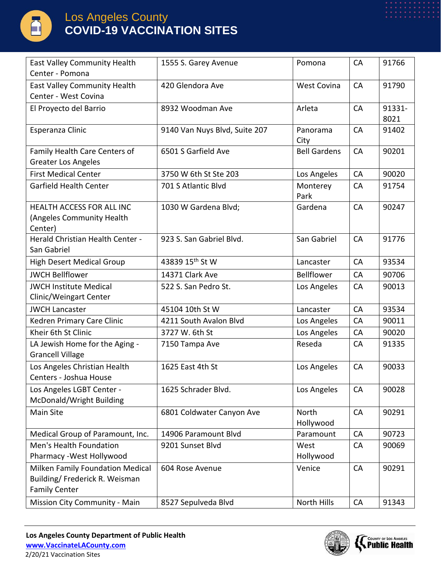

| <b>East Valley Community Health</b><br>Center - Pomona                                     | 1555 S. Garey Avenue          | Pomona              | CA        | 91766          |
|--------------------------------------------------------------------------------------------|-------------------------------|---------------------|-----------|----------------|
| East Valley Community Health<br>Center - West Covina                                       | 420 Glendora Ave              | <b>West Covina</b>  | CA        | 91790          |
| El Proyecto del Barrio                                                                     | 8932 Woodman Ave              | Arleta              | CA        | 91331-<br>8021 |
| Esperanza Clinic                                                                           | 9140 Van Nuys Blvd, Suite 207 | Panorama<br>City    | CA        | 91402          |
| Family Health Care Centers of<br><b>Greater Los Angeles</b>                                | 6501 S Garfield Ave           | <b>Bell Gardens</b> | CA        | 90201          |
| <b>First Medical Center</b>                                                                | 3750 W 6th St Ste 203         | Los Angeles         | CA        | 90020          |
| Garfield Health Center                                                                     | 701 S Atlantic Blvd           | Monterey<br>Park    | CA        | 91754          |
| <b>HEALTH ACCESS FOR ALL INC</b><br>(Angeles Community Health<br>Center)                   | 1030 W Gardena Blvd;          | Gardena             | CA        | 90247          |
| Herald Christian Health Center -<br>San Gabriel                                            | 923 S. San Gabriel Blvd.      | San Gabriel         | CA        | 91776          |
| <b>High Desert Medical Group</b>                                                           | 43839 15 <sup>th</sup> St W   | Lancaster           | <b>CA</b> | 93534          |
| <b>JWCH Bellflower</b>                                                                     | 14371 Clark Ave               | <b>Bellflower</b>   | CA        | 90706          |
| <b>JWCH Institute Medical</b><br>Clinic/Weingart Center                                    | 522 S. San Pedro St.          | Los Angeles         | <b>CA</b> | 90013          |
| <b>JWCH Lancaster</b>                                                                      | 45104 10th St W               | Lancaster           | CA        | 93534          |
| Kedren Primary Care Clinic                                                                 | 4211 South Avalon Blvd        | Los Angeles         | CA        | 90011          |
| Kheir 6th St Clinic                                                                        | 3727 W. 6th St                | Los Angeles         | CA        | 90020          |
| LA Jewish Home for the Aging -<br><b>Grancell Village</b>                                  | 7150 Tampa Ave                | Reseda              | CA        | 91335          |
| Los Angeles Christian Health<br>Centers - Joshua House                                     | 1625 East 4th St              | Los Angeles         | CA        | 90033          |
| Los Angeles LGBT Center -<br>McDonald/Wright Building                                      | 1625 Schrader Blvd.           | Los Angeles         | CA        | 90028          |
| <b>Main Site</b>                                                                           | 6801 Coldwater Canyon Ave     | North<br>Hollywood  | CA        | 90291          |
| Medical Group of Paramount, Inc.                                                           | 14906 Paramount Blvd          | Paramount           | CA        | 90723          |
| Men's Health Foundation<br>Pharmacy - West Hollywood                                       | 9201 Sunset Blvd              | West<br>Hollywood   | <b>CA</b> | 90069          |
| Milken Family Foundation Medical<br>Building/ Frederick R. Weisman<br><b>Family Center</b> | 604 Rose Avenue               | Venice              | CA        | 90291          |
| Mission City Community - Main                                                              | 8527 Sepulveda Blvd           | North Hills         | CA        | 91343          |

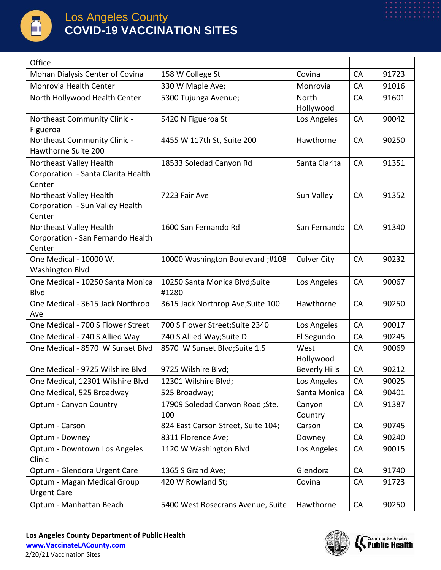

| Office                                                       |                                    |                      |           |       |
|--------------------------------------------------------------|------------------------------------|----------------------|-----------|-------|
| Mohan Dialysis Center of Covina                              | 158 W College St                   | Covina               | CA        | 91723 |
| Monrovia Health Center                                       | 330 W Maple Ave;                   | Monrovia             | CA        | 91016 |
| North Hollywood Health Center                                | 5300 Tujunga Avenue;               | North                | CA        | 91601 |
|                                                              |                                    | Hollywood            |           |       |
| Northeast Community Clinic -                                 | 5420 N Figueroa St                 | Los Angeles          | CA        | 90042 |
| Figueroa                                                     |                                    |                      |           |       |
| Northeast Community Clinic -<br>Hawthorne Suite 200          | 4455 W 117th St, Suite 200         | Hawthorne            | CA        | 90250 |
| Northeast Valley Health                                      | 18533 Soledad Canyon Rd            | Santa Clarita        | CA        | 91351 |
| Corporation - Santa Clarita Health                           |                                    |                      |           |       |
| Center                                                       |                                    |                      |           |       |
| Northeast Valley Health                                      | 7223 Fair Ave                      | Sun Valley           | CA        | 91352 |
| Corporation - Sun Valley Health                              |                                    |                      |           |       |
| Center                                                       |                                    |                      |           |       |
| Northeast Valley Health<br>Corporation - San Fernando Health | 1600 San Fernando Rd               | San Fernando         | CA        | 91340 |
| Center                                                       |                                    |                      |           |       |
| One Medical - 10000 W.                                       | 10000 Washington Boulevard;#108    | <b>Culver City</b>   | CA        | 90232 |
| <b>Washington Blvd</b>                                       |                                    |                      |           |       |
| One Medical - 10250 Santa Monica                             | 10250 Santa Monica Blvd; Suite     | Los Angeles          | CA        | 90067 |
| <b>Blvd</b>                                                  | #1280                              |                      |           |       |
| One Medical - 3615 Jack Northrop                             | 3615 Jack Northrop Ave; Suite 100  | Hawthorne            | CA        | 90250 |
| Ave                                                          |                                    |                      |           |       |
| One Medical - 700 S Flower Street                            | 700 S Flower Street; Suite 2340    | Los Angeles          | CA        | 90017 |
| One Medical - 740 S Allied Way                               | 740 S Allied Way; Suite D          | El Segundo           | CA        | 90245 |
| One Medical - 8570 W Sunset Blvd                             | 8570 W Sunset Blvd; Suite 1.5      | West                 | CA        | 90069 |
|                                                              |                                    | Hollywood            |           |       |
| One Medical - 9725 Wilshire Blvd                             | 9725 Wilshire Blvd;                | <b>Beverly Hills</b> | CA        | 90212 |
| One Medical, 12301 Wilshire Blvd                             | 12301 Wilshire Blvd;               | Los Angeles          | CA        | 90025 |
| One Medical, 525 Broadway                                    | 525 Broadway;                      | Santa Monica         | CA        | 90401 |
| <b>Optum - Canyon Country</b>                                | 17909 Soledad Canyon Road ; Ste.   | Canyon               | CA        | 91387 |
|                                                              | 100                                | Country              |           |       |
| Optum - Carson                                               | 824 East Carson Street, Suite 104; | Carson               | CA        | 90745 |
| Optum - Downey                                               | 8311 Florence Ave;                 | Downey               | <b>CA</b> | 90240 |
| Optum - Downtown Los Angeles                                 | 1120 W Washington Blvd             | Los Angeles          | CA        | 90015 |
| Clinic                                                       |                                    |                      |           |       |
| Optum - Glendora Urgent Care                                 | 1365 S Grand Ave;                  | Glendora             | <b>CA</b> | 91740 |
| Optum - Magan Medical Group<br><b>Urgent Care</b>            | 420 W Rowland St;                  | Covina               | <b>CA</b> | 91723 |
| Optum - Manhattan Beach                                      | 5400 West Rosecrans Avenue, Suite  | Hawthorne            | <b>CA</b> | 90250 |
|                                                              |                                    |                      |           |       |

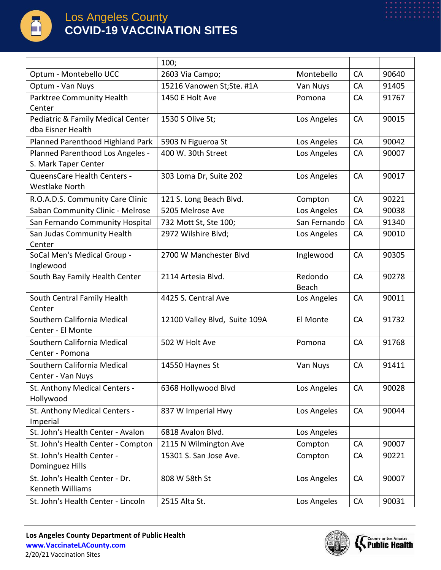

|                                                          | 100;                          |                  |           |       |
|----------------------------------------------------------|-------------------------------|------------------|-----------|-------|
| Optum - Montebello UCC                                   | 2603 Via Campo;               | Montebello       | CA        | 90640 |
| Optum - Van Nuys                                         | 15216 Vanowen St;Ste. #1A     | Van Nuys         | CA        | 91405 |
| Parktree Community Health<br>Center                      | 1450 E Holt Ave               | Pomona           | CA        | 91767 |
| Pediatric & Family Medical Center<br>dba Eisner Health   | 1530 S Olive St;              | Los Angeles      | <b>CA</b> | 90015 |
| Planned Parenthood Highland Park                         | 5903 N Figueroa St            | Los Angeles      | CA        | 90042 |
| Planned Parenthood Los Angeles -<br>S. Mark Taper Center | 400 W. 30th Street            | Los Angeles      | CA        | 90007 |
| QueensCare Health Centers -<br><b>Westlake North</b>     | 303 Loma Dr, Suite 202        | Los Angeles      | CA        | 90017 |
| R.O.A.D.S. Community Care Clinic                         | 121 S. Long Beach Blvd.       | Compton          | CA        | 90221 |
| Saban Community Clinic - Melrose                         | 5205 Melrose Ave              | Los Angeles      | CA        | 90038 |
| San Fernando Community Hospital                          | 732 Mott St, Ste 100;         | San Fernando     | CA        | 91340 |
| San Judas Community Health<br>Center                     | 2972 Wilshire Blvd;           | Los Angeles      | <b>CA</b> | 90010 |
| SoCal Men's Medical Group -<br>Inglewood                 | 2700 W Manchester Blvd        | Inglewood        | CA        | 90305 |
| South Bay Family Health Center                           | 2114 Artesia Blvd.            | Redondo<br>Beach | CA        | 90278 |
| South Central Family Health<br>Center                    | 4425 S. Central Ave           | Los Angeles      | CA        | 90011 |
| Southern California Medical<br>Center - El Monte         | 12100 Valley Blvd, Suite 109A | El Monte         | CA        | 91732 |
| Southern California Medical<br>Center - Pomona           | 502 W Holt Ave                | Pomona           | CA        | 91768 |
| Southern California Medical<br>Center - Van Nuys         | 14550 Haynes St               | Van Nuys         | CA        | 91411 |
| St. Anthony Medical Centers -<br>Hollywood               | 6368 Hollywood Blvd           | Los Angeles      | CA        | 90028 |
| St. Anthony Medical Centers -<br>Imperial                | 837 W Imperial Hwy            | Los Angeles      | CA        | 90044 |
| St. John's Health Center - Avalon                        | 6818 Avalon Blvd.             | Los Angeles      |           |       |
| St. John's Health Center - Compton                       | 2115 N Wilmington Ave         | Compton          | CA        | 90007 |
| St. John's Health Center -<br>Dominguez Hills            | 15301 S. San Jose Ave.        | Compton          | <b>CA</b> | 90221 |
| St. John's Health Center - Dr.<br>Kenneth Williams       | 808 W 58th St                 | Los Angeles      | <b>CA</b> | 90007 |
| St. John's Health Center - Lincoln                       | 2515 Alta St.                 | Los Angeles      | CA        | 90031 |

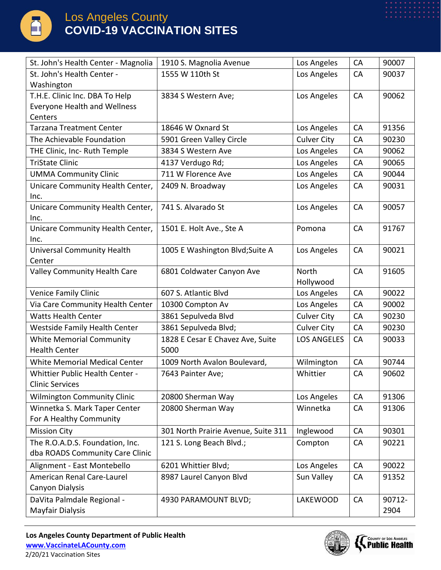

| St. John's Health Center - Magnolia                     | 1910 S. Magnolia Avenue                  | Los Angeles        | CA | 90007  |
|---------------------------------------------------------|------------------------------------------|--------------------|----|--------|
| St. John's Health Center -                              | 1555 W 110th St                          | Los Angeles        | CA | 90037  |
| Washington                                              |                                          |                    |    |        |
| T.H.E. Clinic Inc. DBA To Help                          | 3834 S Western Ave;                      | Los Angeles        | CA | 90062  |
| <b>Everyone Health and Wellness</b>                     |                                          |                    |    |        |
| Centers                                                 |                                          |                    |    |        |
| <b>Tarzana Treatment Center</b>                         | 18646 W Oxnard St                        | Los Angeles        | CA | 91356  |
| The Achievable Foundation                               | 5901 Green Valley Circle                 | <b>Culver City</b> | CA | 90230  |
| THE Clinic, Inc- Ruth Temple                            | 3834 S Western Ave                       | Los Angeles        | CA | 90062  |
| <b>TriState Clinic</b>                                  | 4137 Verdugo Rd;                         | Los Angeles        | CA | 90065  |
| <b>UMMA Community Clinic</b>                            | 711 W Florence Ave                       | Los Angeles        | CA | 90044  |
| Unicare Community Health Center,                        | 2409 N. Broadway                         | Los Angeles        | CA | 90031  |
| Inc.                                                    |                                          |                    |    |        |
| Unicare Community Health Center,                        | 741 S. Alvarado St                       | Los Angeles        | CA | 90057  |
| Inc.                                                    |                                          |                    |    |        |
| Unicare Community Health Center,                        | 1501 E. Holt Ave., Ste A                 | Pomona             | CA | 91767  |
| Inc.                                                    |                                          |                    |    |        |
| <b>Universal Community Health</b>                       | 1005 E Washington Blvd; Suite A          | Los Angeles        | CA | 90021  |
| Center                                                  |                                          |                    |    |        |
| Valley Community Health Care                            | 6801 Coldwater Canyon Ave                | North              | CA | 91605  |
|                                                         |                                          | Hollywood          |    |        |
| <b>Venice Family Clinic</b>                             | 607 S. Atlantic Blvd                     | Los Angeles        | CA | 90022  |
| Via Care Community Health Center                        | 10300 Compton Av                         | Los Angeles        | CA | 90002  |
| <b>Watts Health Center</b>                              | 3861 Sepulveda Blvd                      | <b>Culver City</b> | CA | 90230  |
| <b>Westside Family Health Center</b>                    | 3861 Sepulveda Blvd;                     | <b>Culver City</b> | CA | 90230  |
| <b>White Memorial Community</b><br><b>Health Center</b> | 1828 E Cesar E Chavez Ave, Suite<br>5000 | <b>LOS ANGELES</b> | CA | 90033  |
| <b>White Memorial Medical Center</b>                    | 1009 North Avalon Boulevard,             | Wilmington         | CA | 90744  |
| Whittier Public Health Center -                         | 7643 Painter Ave;                        | Whittier           | CA | 90602  |
| <b>Clinic Services</b>                                  |                                          |                    |    |        |
| <b>Wilmington Community Clinic</b>                      | 20800 Sherman Way                        | Los Angeles        | CA | 91306  |
| Winnetka S. Mark Taper Center                           | 20800 Sherman Way                        | Winnetka           | CA | 91306  |
| For A Healthy Community                                 |                                          |                    |    |        |
| <b>Mission City</b>                                     | 301 North Prairie Avenue, Suite 311      | Inglewood          | CA | 90301  |
| The R.O.A.D.S. Foundation, Inc.                         | 121 S. Long Beach Blvd.;                 | Compton            | CA | 90221  |
| dba ROADS Community Care Clinic                         |                                          |                    |    |        |
| Alignment - East Montebello                             | 6201 Whittier Blvd;                      | Los Angeles        | CA | 90022  |
| American Renal Care-Laurel                              | 8987 Laurel Canyon Blvd                  | Sun Valley         | CA | 91352  |
| Canyon Dialysis                                         |                                          |                    |    |        |
| DaVita Palmdale Regional -                              | 4930 PARAMOUNT BLVD;                     | <b>LAKEWOOD</b>    | CA | 90712- |
| Mayfair Dialysis                                        |                                          |                    |    | 2904   |
|                                                         |                                          |                    |    |        |

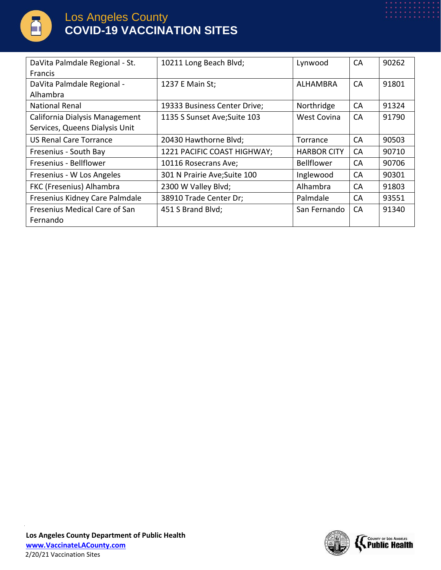

| DaVita Palmdale Regional - St. | 10211 Long Beach Blvd;       | Lynwood            | <b>CA</b> | 90262 |
|--------------------------------|------------------------------|--------------------|-----------|-------|
| <b>Francis</b>                 |                              |                    |           |       |
| DaVita Palmdale Regional -     | 1237 E Main St;              | ALHAMBRA           | <b>CA</b> | 91801 |
| Alhambra                       |                              |                    |           |       |
| <b>National Renal</b>          | 19333 Business Center Drive; | Northridge         | CA        | 91324 |
| California Dialysis Management | 1135 S Sunset Ave; Suite 103 | <b>West Covina</b> | CA        | 91790 |
| Services, Queens Dialysis Unit |                              |                    |           |       |
| <b>US Renal Care Torrance</b>  | 20430 Hawthorne Blvd;        | Torrance           | <b>CA</b> | 90503 |
| Fresenius - South Bay          | 1221 PACIFIC COAST HIGHWAY;  | <b>HARBOR CITY</b> | CA        | 90710 |
| Fresenius - Bellflower         | 10116 Rosecrans Ave;         | <b>Bellflower</b>  | <b>CA</b> | 90706 |
| Fresenius - W Los Angeles      | 301 N Prairie Ave; Suite 100 | Inglewood          | <b>CA</b> | 90301 |
| FKC (Fresenius) Alhambra       | 2300 W Valley Blvd;          | Alhambra           | <b>CA</b> | 91803 |
| Fresenius Kidney Care Palmdale | 38910 Trade Center Dr;       | Palmdale           | CA        | 93551 |
| Fresenius Medical Care of San  | 451 S Brand Blvd;            | San Fernando       | <b>CA</b> | 91340 |
| Fernando                       |                              |                    |           |       |

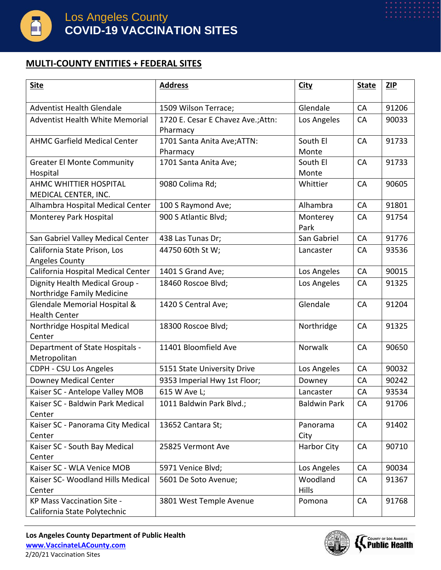

#### **MULTI-COUNTY ENTITIES + FEDERAL SITES**

| <b>Site</b>                            | <b>Address</b>                                 | <b>City</b>         | <b>State</b> | <b>ZIP</b> |
|----------------------------------------|------------------------------------------------|---------------------|--------------|------------|
| <b>Adventist Health Glendale</b>       |                                                | Glendale            | CA           | 91206      |
|                                        | 1509 Wilson Terrace;                           |                     |              |            |
| <b>Adventist Health White Memorial</b> | 1720 E. Cesar E Chavez Ave.; Attn:<br>Pharmacy | Los Angeles         | CA           | 90033      |
| <b>AHMC Garfield Medical Center</b>    | 1701 Santa Anita Ave; ATTN:                    | South El            | CA           | 91733      |
|                                        | Pharmacy                                       | Monte               |              |            |
| <b>Greater El Monte Community</b>      | 1701 Santa Anita Ave;                          | South El            | CA           | 91733      |
| Hospital                               |                                                | Monte               |              |            |
| <b>AHMC WHITTIER HOSPITAL</b>          | 9080 Colima Rd;                                | Whittier            | CA           | 90605      |
| MEDICAL CENTER, INC.                   |                                                |                     |              |            |
| Alhambra Hospital Medical Center       | 100 S Raymond Ave;                             | Alhambra            | CA           | 91801      |
| Monterey Park Hospital                 | 900 S Atlantic Blvd;                           | Monterey            | CA           | 91754      |
|                                        |                                                | Park                |              |            |
| San Gabriel Valley Medical Center      | 438 Las Tunas Dr;                              | San Gabriel         | CA           | 91776      |
| California State Prison, Los           | 44750 60th St W;                               | Lancaster           | CA           | 93536      |
| <b>Angeles County</b>                  |                                                |                     |              |            |
| California Hospital Medical Center     | 1401 S Grand Ave;                              | Los Angeles         | CA           | 90015      |
| Dignity Health Medical Group -         | 18460 Roscoe Blvd;                             | Los Angeles         | CA           | 91325      |
| Northridge Family Medicine             |                                                |                     |              |            |
| Glendale Memorial Hospital &           | 1420 S Central Ave;                            | Glendale            | CA           | 91204      |
| <b>Health Center</b>                   |                                                |                     |              |            |
| Northridge Hospital Medical            | 18300 Roscoe Blvd;                             | Northridge          | CA           | 91325      |
| Center                                 |                                                |                     |              |            |
| Department of State Hospitals -        | 11401 Bloomfield Ave                           | Norwalk             | CA           | 90650      |
| Metropolitan                           |                                                |                     |              |            |
| <b>CDPH - CSU Los Angeles</b>          | 5151 State University Drive                    | Los Angeles         | CA           | 90032      |
| <b>Downey Medical Center</b>           | 9353 Imperial Hwy 1st Floor;                   | Downey              | CA           | 90242      |
| Kaiser SC - Antelope Valley MOB        | 615 W Ave L;                                   | Lancaster           | <b>CA</b>    | 93534      |
| Kaiser SC - Baldwin Park Medical       | 1011 Baldwin Park Blvd.;                       | <b>Baldwin Park</b> | CA           | 91706      |
| Center                                 |                                                |                     |              |            |
| Kaiser SC - Panorama City Medical      | 13652 Cantara St;                              | Panorama            | CA           | 91402      |
| Center                                 |                                                | City                |              |            |
| Kaiser SC - South Bay Medical          | 25825 Vermont Ave                              | <b>Harbor City</b>  | CA           | 90710      |
| Center                                 |                                                |                     |              |            |
| Kaiser SC - WLA Venice MOB             | 5971 Venice Blvd;                              | Los Angeles         | CA           | 90034      |
| Kaiser SC- Woodland Hills Medical      | 5601 De Soto Avenue;                           | Woodland            | CA           | 91367      |
| Center                                 |                                                | <b>Hills</b>        |              |            |
| <b>KP Mass Vaccination Site -</b>      | 3801 West Temple Avenue                        | Pomona              | CA           | 91768      |
| California State Polytechnic           |                                                |                     |              |            |

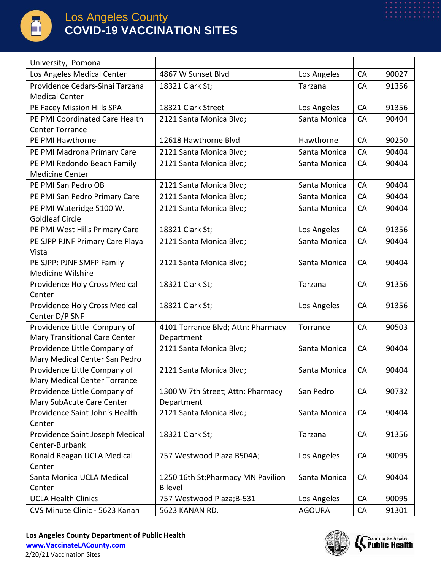

| University, Pomona                                            |                                       |               |           |       |
|---------------------------------------------------------------|---------------------------------------|---------------|-----------|-------|
| Los Angeles Medical Center                                    | 4867 W Sunset Blvd                    | Los Angeles   | <b>CA</b> | 90027 |
| Providence Cedars-Sinai Tarzana                               | 18321 Clark St;                       | Tarzana       | CA        | 91356 |
| <b>Medical Center</b>                                         |                                       |               |           |       |
| PE Facey Mission Hills SPA                                    | 18321 Clark Street                    | Los Angeles   | CA        | 91356 |
| PE PMI Coordinated Care Health                                | 2121 Santa Monica Blvd;               | Santa Monica  | CA        | 90404 |
| <b>Center Torrance</b>                                        |                                       |               |           |       |
| PE PMI Hawthorne                                              | 12618 Hawthorne Blvd                  | Hawthorne     | CA        | 90250 |
| PE PMI Madrona Primary Care                                   | 2121 Santa Monica Blvd;               | Santa Monica  | CA        | 90404 |
| PE PMI Redondo Beach Family                                   | 2121 Santa Monica Blvd;               | Santa Monica  | CA        | 90404 |
| <b>Medicine Center</b>                                        |                                       |               |           |       |
| PE PMI San Pedro OB                                           | 2121 Santa Monica Blvd;               | Santa Monica  | CA        | 90404 |
| PE PMI San Pedro Primary Care                                 | 2121 Santa Monica Blvd;               | Santa Monica  | CA        | 90404 |
| PE PMI Wateridge 5100 W.                                      | 2121 Santa Monica Blvd;               | Santa Monica  | <b>CA</b> | 90404 |
| <b>Goldleaf Circle</b>                                        |                                       |               |           |       |
| PE PMI West Hills Primary Care                                | 18321 Clark St;                       | Los Angeles   | CA        | 91356 |
| PE SJPP PJNF Primary Care Playa                               | 2121 Santa Monica Blvd;               | Santa Monica  | CA        | 90404 |
| Vista                                                         |                                       |               |           |       |
| PE SJPP: PJNF SMFP Family                                     | 2121 Santa Monica Blvd;               | Santa Monica  | CA        | 90404 |
| <b>Medicine Wilshire</b>                                      |                                       |               |           |       |
| Providence Holy Cross Medical                                 | 18321 Clark St;                       | Tarzana       | CA        | 91356 |
| Center                                                        |                                       |               |           |       |
| Providence Holy Cross Medical                                 | 18321 Clark St;                       | Los Angeles   | CA        | 91356 |
| Center D/P SNF                                                |                                       |               |           |       |
| Providence Little Company of                                  | 4101 Torrance Blvd; Attn: Pharmacy    | Torrance      | CA        | 90503 |
| <b>Mary Transitional Care Center</b>                          | Department<br>2121 Santa Monica Blvd; |               |           |       |
| Providence Little Company of<br>Mary Medical Center San Pedro |                                       | Santa Monica  | CA        | 90404 |
| Providence Little Company of                                  | 2121 Santa Monica Blvd;               | Santa Monica  | CA        | 90404 |
| Mary Medical Center Torrance                                  |                                       |               |           |       |
| Providence Little Company of                                  | 1300 W 7th Street; Attn: Pharmacy     | San Pedro     | CA        | 90732 |
| Mary SubAcute Care Center                                     | Department                            |               |           |       |
| Providence Saint John's Health                                | 2121 Santa Monica Blvd;               | Santa Monica  | CA        | 90404 |
| Center                                                        |                                       |               |           |       |
| Providence Saint Joseph Medical                               | 18321 Clark St;                       | Tarzana       | CA        | 91356 |
| Center-Burbank                                                |                                       |               |           |       |
| Ronald Reagan UCLA Medical                                    | 757 Westwood Plaza B504A;             | Los Angeles   | CA        | 90095 |
| Center                                                        |                                       |               |           |       |
| Santa Monica UCLA Medical                                     | 1250 16th St; Pharmacy MN Pavilion    | Santa Monica  | <b>CA</b> | 90404 |
| Center                                                        | <b>B</b> level                        |               |           |       |
| <b>UCLA Health Clinics</b>                                    | 757 Westwood Plaza; B-531             | Los Angeles   | CA        | 90095 |
| CVS Minute Clinic - 5623 Kanan                                | 5623 KANAN RD.                        | <b>AGOURA</b> | <b>CA</b> | 91301 |

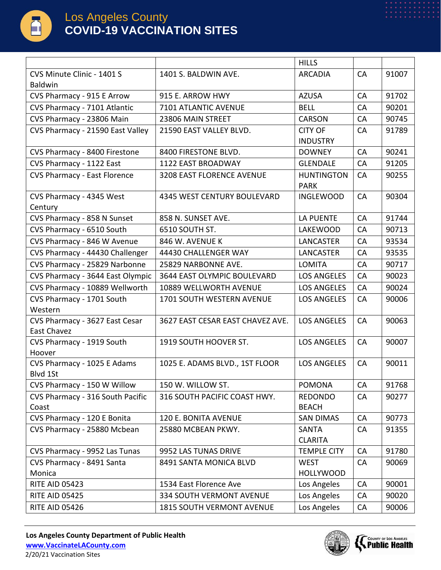

| CVS Minute Clinic - 1401 S<br><b>ARCADIA</b><br>CA<br>91007<br>1401 S. BALDWIN AVE.<br>Baldwin<br><b>AZUSA</b><br>CA<br>91702<br>CVS Pharmacy - 915 E Arrow<br>915 E. ARROW HWY<br>CVS Pharmacy - 7101 Atlantic<br><b>BELL</b><br>CA<br>90201<br>7101 ATLANTIC AVENUE<br>CVS Pharmacy - 23806 Main<br>CA<br>90745<br>23806 MAIN STREET<br><b>CARSON</b><br>CVS Pharmacy - 21590 East Valley<br><b>CITY OF</b><br>21590 EAST VALLEY BLVD.<br><b>CA</b><br>91789<br><b>INDUSTRY</b><br>CA<br>CVS Pharmacy - 8400 Firestone<br>8400 FIRESTONE BLVD.<br><b>DOWNEY</b><br>90241<br><b>GLENDALE</b><br>CA<br>91205<br>CVS Pharmacy - 1122 East<br>1122 EAST BROADWAY<br>90255<br><b>CVS Pharmacy - East Florence</b><br>3208 EAST FLORENCE AVENUE<br><b>HUNTINGTON</b><br>CA<br><b>PARK</b><br>CA<br>90304<br>CVS Pharmacy - 4345 West<br>4345 WEST CENTURY BOULEVARD<br><b>INGLEWOOD</b><br>Century<br><b>LA PUENTE</b><br>CA<br>CVS Pharmacy - 858 N Sunset<br>858 N. SUNSET AVE.<br>91744<br>CVS Pharmacy - 6510 South<br>LAKEWOOD<br>CA<br>90713<br>6510 SOUTH ST.<br>CVS Pharmacy - 846 W Avenue<br>846 W. AVENUE K<br><b>LANCASTER</b><br>CA<br>93534<br>CVS Pharmacy - 44430 Challenger<br><b>LANCASTER</b><br>93535<br>44430 CHALLENGER WAY<br>CA |
|-----------------------------------------------------------------------------------------------------------------------------------------------------------------------------------------------------------------------------------------------------------------------------------------------------------------------------------------------------------------------------------------------------------------------------------------------------------------------------------------------------------------------------------------------------------------------------------------------------------------------------------------------------------------------------------------------------------------------------------------------------------------------------------------------------------------------------------------------------------------------------------------------------------------------------------------------------------------------------------------------------------------------------------------------------------------------------------------------------------------------------------------------------------------------------------------------------------------------------------------------------|
|                                                                                                                                                                                                                                                                                                                                                                                                                                                                                                                                                                                                                                                                                                                                                                                                                                                                                                                                                                                                                                                                                                                                                                                                                                                     |
|                                                                                                                                                                                                                                                                                                                                                                                                                                                                                                                                                                                                                                                                                                                                                                                                                                                                                                                                                                                                                                                                                                                                                                                                                                                     |
|                                                                                                                                                                                                                                                                                                                                                                                                                                                                                                                                                                                                                                                                                                                                                                                                                                                                                                                                                                                                                                                                                                                                                                                                                                                     |
|                                                                                                                                                                                                                                                                                                                                                                                                                                                                                                                                                                                                                                                                                                                                                                                                                                                                                                                                                                                                                                                                                                                                                                                                                                                     |
|                                                                                                                                                                                                                                                                                                                                                                                                                                                                                                                                                                                                                                                                                                                                                                                                                                                                                                                                                                                                                                                                                                                                                                                                                                                     |
|                                                                                                                                                                                                                                                                                                                                                                                                                                                                                                                                                                                                                                                                                                                                                                                                                                                                                                                                                                                                                                                                                                                                                                                                                                                     |
|                                                                                                                                                                                                                                                                                                                                                                                                                                                                                                                                                                                                                                                                                                                                                                                                                                                                                                                                                                                                                                                                                                                                                                                                                                                     |
|                                                                                                                                                                                                                                                                                                                                                                                                                                                                                                                                                                                                                                                                                                                                                                                                                                                                                                                                                                                                                                                                                                                                                                                                                                                     |
|                                                                                                                                                                                                                                                                                                                                                                                                                                                                                                                                                                                                                                                                                                                                                                                                                                                                                                                                                                                                                                                                                                                                                                                                                                                     |
|                                                                                                                                                                                                                                                                                                                                                                                                                                                                                                                                                                                                                                                                                                                                                                                                                                                                                                                                                                                                                                                                                                                                                                                                                                                     |
|                                                                                                                                                                                                                                                                                                                                                                                                                                                                                                                                                                                                                                                                                                                                                                                                                                                                                                                                                                                                                                                                                                                                                                                                                                                     |
|                                                                                                                                                                                                                                                                                                                                                                                                                                                                                                                                                                                                                                                                                                                                                                                                                                                                                                                                                                                                                                                                                                                                                                                                                                                     |
|                                                                                                                                                                                                                                                                                                                                                                                                                                                                                                                                                                                                                                                                                                                                                                                                                                                                                                                                                                                                                                                                                                                                                                                                                                                     |
|                                                                                                                                                                                                                                                                                                                                                                                                                                                                                                                                                                                                                                                                                                                                                                                                                                                                                                                                                                                                                                                                                                                                                                                                                                                     |
|                                                                                                                                                                                                                                                                                                                                                                                                                                                                                                                                                                                                                                                                                                                                                                                                                                                                                                                                                                                                                                                                                                                                                                                                                                                     |
|                                                                                                                                                                                                                                                                                                                                                                                                                                                                                                                                                                                                                                                                                                                                                                                                                                                                                                                                                                                                                                                                                                                                                                                                                                                     |
| CVS Pharmacy - 25829 Narbonne<br>CA<br>90717<br>25829 NARBONNE AVE.<br><b>LOMITA</b>                                                                                                                                                                                                                                                                                                                                                                                                                                                                                                                                                                                                                                                                                                                                                                                                                                                                                                                                                                                                                                                                                                                                                                |
| CVS Pharmacy - 3644 East Olympic<br><b>LOS ANGELES</b><br>CA<br>90023<br>3644 EAST OLYMPIC BOULEVARD                                                                                                                                                                                                                                                                                                                                                                                                                                                                                                                                                                                                                                                                                                                                                                                                                                                                                                                                                                                                                                                                                                                                                |
| CVS Pharmacy - 10889 Wellworth<br>90024<br>10889 WELLWORTH AVENUE<br><b>LOS ANGELES</b><br>CA                                                                                                                                                                                                                                                                                                                                                                                                                                                                                                                                                                                                                                                                                                                                                                                                                                                                                                                                                                                                                                                                                                                                                       |
| CVS Pharmacy - 1701 South<br><b>LOS ANGELES</b><br>CA<br>90006<br><b>1701 SOUTH WESTERN AVENUE</b>                                                                                                                                                                                                                                                                                                                                                                                                                                                                                                                                                                                                                                                                                                                                                                                                                                                                                                                                                                                                                                                                                                                                                  |
| Western                                                                                                                                                                                                                                                                                                                                                                                                                                                                                                                                                                                                                                                                                                                                                                                                                                                                                                                                                                                                                                                                                                                                                                                                                                             |
| CA<br>CVS Pharmacy - 3627 East Cesar<br>3627 EAST CESAR EAST CHAVEZ AVE.<br><b>LOS ANGELES</b><br>90063                                                                                                                                                                                                                                                                                                                                                                                                                                                                                                                                                                                                                                                                                                                                                                                                                                                                                                                                                                                                                                                                                                                                             |
| East Chavez                                                                                                                                                                                                                                                                                                                                                                                                                                                                                                                                                                                                                                                                                                                                                                                                                                                                                                                                                                                                                                                                                                                                                                                                                                         |
| CA<br>1919 SOUTH HOOVER ST.<br><b>LOS ANGELES</b><br>90007<br>CVS Pharmacy - 1919 South                                                                                                                                                                                                                                                                                                                                                                                                                                                                                                                                                                                                                                                                                                                                                                                                                                                                                                                                                                                                                                                                                                                                                             |
| Hoover                                                                                                                                                                                                                                                                                                                                                                                                                                                                                                                                                                                                                                                                                                                                                                                                                                                                                                                                                                                                                                                                                                                                                                                                                                              |
| <b>LOS ANGELES</b><br>CA<br>90011<br>CVS Pharmacy - 1025 E Adams<br>1025 E. ADAMS BLVD., 1ST FLOOR                                                                                                                                                                                                                                                                                                                                                                                                                                                                                                                                                                                                                                                                                                                                                                                                                                                                                                                                                                                                                                                                                                                                                  |
| Blvd 1St<br>CVS Pharmacy - 150 W Willow<br><b>POMONA</b><br>CA<br>150 W. WILLOW ST.<br>91768                                                                                                                                                                                                                                                                                                                                                                                                                                                                                                                                                                                                                                                                                                                                                                                                                                                                                                                                                                                                                                                                                                                                                        |
| CVS Pharmacy - 316 South Pacific<br>316 SOUTH PACIFIC COAST HWY.<br><b>REDONDO</b><br>CA<br>90277                                                                                                                                                                                                                                                                                                                                                                                                                                                                                                                                                                                                                                                                                                                                                                                                                                                                                                                                                                                                                                                                                                                                                   |
| <b>BEACH</b><br>Coast                                                                                                                                                                                                                                                                                                                                                                                                                                                                                                                                                                                                                                                                                                                                                                                                                                                                                                                                                                                                                                                                                                                                                                                                                               |
| CA<br>CVS Pharmacy - 120 E Bonita<br>120 E. BONITA AVENUE<br><b>SAN DIMAS</b><br>90773                                                                                                                                                                                                                                                                                                                                                                                                                                                                                                                                                                                                                                                                                                                                                                                                                                                                                                                                                                                                                                                                                                                                                              |
| CVS Pharmacy - 25880 Mcbean<br>25880 MCBEAN PKWY.<br><b>SANTA</b><br>CA<br>91355                                                                                                                                                                                                                                                                                                                                                                                                                                                                                                                                                                                                                                                                                                                                                                                                                                                                                                                                                                                                                                                                                                                                                                    |
| <b>CLARITA</b>                                                                                                                                                                                                                                                                                                                                                                                                                                                                                                                                                                                                                                                                                                                                                                                                                                                                                                                                                                                                                                                                                                                                                                                                                                      |
| CVS Pharmacy - 9952 Las Tunas<br>9952 LAS TUNAS DRIVE<br><b>TEMPLE CITY</b><br>CA<br>91780                                                                                                                                                                                                                                                                                                                                                                                                                                                                                                                                                                                                                                                                                                                                                                                                                                                                                                                                                                                                                                                                                                                                                          |
| CVS Pharmacy - 8491 Santa<br><b>WEST</b><br>CA<br>8491 SANTA MONICA BLVD<br>90069                                                                                                                                                                                                                                                                                                                                                                                                                                                                                                                                                                                                                                                                                                                                                                                                                                                                                                                                                                                                                                                                                                                                                                   |
| Monica<br><b>HOLLYWOOD</b>                                                                                                                                                                                                                                                                                                                                                                                                                                                                                                                                                                                                                                                                                                                                                                                                                                                                                                                                                                                                                                                                                                                                                                                                                          |
| <b>RITE AID 05423</b><br>1534 East Florence Ave<br>90001<br>Los Angeles<br><b>CA</b>                                                                                                                                                                                                                                                                                                                                                                                                                                                                                                                                                                                                                                                                                                                                                                                                                                                                                                                                                                                                                                                                                                                                                                |
| 334 SOUTH VERMONT AVENUE<br>Los Angeles<br>CA<br><b>RITE AID 05425</b><br>90020                                                                                                                                                                                                                                                                                                                                                                                                                                                                                                                                                                                                                                                                                                                                                                                                                                                                                                                                                                                                                                                                                                                                                                     |
| Los Angeles<br><b>RITE AID 05426</b><br>CA<br>90006<br><b>1815 SOUTH VERMONT AVENUE</b>                                                                                                                                                                                                                                                                                                                                                                                                                                                                                                                                                                                                                                                                                                                                                                                                                                                                                                                                                                                                                                                                                                                                                             |

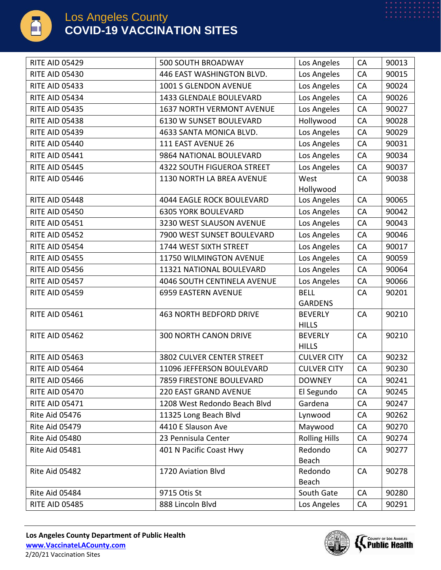

| <b>RITE AID 05429</b> | 500 SOUTH BROADWAY                 | Los Angeles                   | CA        | 90013 |
|-----------------------|------------------------------------|-------------------------------|-----------|-------|
| <b>RITE AID 05430</b> | 446 EAST WASHINGTON BLVD.          | Los Angeles                   | CA        | 90015 |
| <b>RITE AID 05433</b> | 1001 S GLENDON AVENUE              | Los Angeles                   | CA        | 90024 |
| <b>RITE AID 05434</b> | 1433 GLENDALE BOULEVARD            | Los Angeles                   | CA        | 90026 |
| <b>RITE AID 05435</b> | <b>1637 NORTH VERMONT AVENUE</b>   | Los Angeles                   | CA        | 90027 |
| <b>RITE AID 05438</b> | 6130 W SUNSET BOULEVARD            | Hollywood                     | CA        | 90028 |
| <b>RITE AID 05439</b> | 4633 SANTA MONICA BLVD.            | Los Angeles                   | CA        | 90029 |
| <b>RITE AID 05440</b> | 111 EAST AVENUE 26                 | Los Angeles                   | CA        | 90031 |
| <b>RITE AID 05441</b> | 9864 NATIONAL BOULEVARD            | Los Angeles                   | CA        | 90034 |
| <b>RITE AID 05445</b> | <b>4322 SOUTH FIGUEROA STREET</b>  | Los Angeles                   | CA        | 90037 |
| <b>RITE AID 05446</b> | 1130 NORTH LA BREA AVENUE          | West                          | CA        | 90038 |
|                       |                                    | Hollywood                     |           |       |
| <b>RITE AID 05448</b> | <b>4044 EAGLE ROCK BOULEVARD</b>   | Los Angeles                   | CA        | 90065 |
| <b>RITE AID 05450</b> | <b>6305 YORK BOULEVARD</b>         | Los Angeles                   | CA        | 90042 |
| <b>RITE AID 05451</b> | 3230 WEST SLAUSON AVENUE           | Los Angeles                   | CA        | 90043 |
| <b>RITE AID 05452</b> | 7900 WEST SUNSET BOULEVARD         | Los Angeles                   | CA        | 90046 |
| <b>RITE AID 05454</b> | 1744 WEST SIXTH STREET             | Los Angeles                   | CA        | 90017 |
| <b>RITE AID 05455</b> | 11750 WILMINGTON AVENUE            | Los Angeles                   | CA        | 90059 |
| <b>RITE AID 05456</b> | 11321 NATIONAL BOULEVARD           | Los Angeles                   | CA        | 90064 |
| <b>RITE AID 05457</b> | <b>4046 SOUTH CENTINELA AVENUE</b> | Los Angeles                   | CA        | 90066 |
| <b>RITE AID 05459</b> | 6959 EASTERN AVENUE                | <b>BELL</b><br><b>GARDENS</b> | CA        | 90201 |
| <b>RITE AID 05461</b> | <b>463 NORTH BEDFORD DRIVE</b>     | <b>BEVERLY</b>                | CA        | 90210 |
|                       |                                    | <b>HILLS</b>                  |           |       |
| <b>RITE AID 05462</b> | <b>300 NORTH CANON DRIVE</b>       | <b>BEVERLY</b>                | CA        | 90210 |
|                       |                                    | <b>HILLS</b>                  |           |       |
| <b>RITE AID 05463</b> | 3802 CULVER CENTER STREET          | <b>CULVER CITY</b>            | CA        | 90232 |
| <b>RITE AID 05464</b> | 11096 JEFFERSON BOULEVARD          | <b>CULVER CITY</b>            | <b>CA</b> | 90230 |
| <b>RITE AID 05466</b> | 7859 FIRESTONE BOULEVARD           | <b>DOWNEY</b>                 | CA        | 90241 |
| <b>RITE AID 05470</b> | 220 EAST GRAND AVENUE              | El Segundo                    | CA        | 90245 |
| <b>RITE AID 05471</b> | 1208 West Redondo Beach Blvd       | Gardena                       | CA        | 90247 |
| Rite Aid 05476        | 11325 Long Beach Blvd              | Lynwood                       | <b>CA</b> | 90262 |
| Rite Aid 05479        | 4410 E Slauson Ave                 | Maywood                       | CA        | 90270 |
| Rite Aid 05480        | 23 Pennisula Center                | <b>Rolling Hills</b>          | CA        | 90274 |
| <b>Rite Aid 05481</b> | 401 N Pacific Coast Hwy            | Redondo<br>Beach              | <b>CA</b> | 90277 |
| Rite Aid 05482        | 1720 Aviation Blvd                 | Redondo                       | CA        | 90278 |
|                       |                                    | Beach                         |           |       |
| Rite Aid 05484        | 9715 Otis St                       | South Gate                    | CA        | 90280 |
| <b>RITE AID 05485</b> | 888 Lincoln Blvd                   | Los Angeles                   | CA        | 90291 |



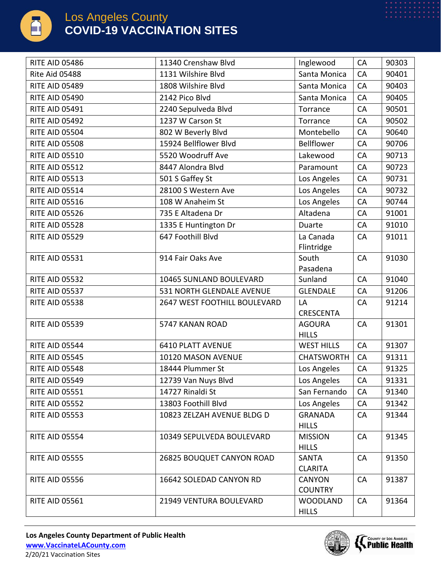

| <b>RITE AID 05486</b> | 11340 Crenshaw Blvd          | Inglewood                       | CA        | 90303 |
|-----------------------|------------------------------|---------------------------------|-----------|-------|
| Rite Aid 05488        | 1131 Wilshire Blvd           | Santa Monica                    | CA        | 90401 |
| <b>RITE AID 05489</b> | 1808 Wilshire Blvd           | Santa Monica                    | CA        | 90403 |
| <b>RITE AID 05490</b> | 2142 Pico Blvd               | Santa Monica                    | CA        | 90405 |
| <b>RITE AID 05491</b> | 2240 Sepulveda Blvd          | Torrance                        | CA        | 90501 |
| <b>RITE AID 05492</b> | 1237 W Carson St             | Torrance                        | CA        | 90502 |
| <b>RITE AID 05504</b> | 802 W Beverly Blvd           | Montebello                      | CA        | 90640 |
| <b>RITE AID 05508</b> | 15924 Bellflower Blvd        | Bellflower                      | CA        | 90706 |
| <b>RITE AID 05510</b> | 5520 Woodruff Ave            | Lakewood                        | CA        | 90713 |
| <b>RITE AID 05512</b> | 8447 Alondra Blvd            | Paramount                       | CA        | 90723 |
| <b>RITE AID 05513</b> | 501 S Gaffey St              | Los Angeles                     | CA        | 90731 |
| <b>RITE AID 05514</b> | 28100 S Western Ave          | Los Angeles                     | CA        | 90732 |
| <b>RITE AID 05516</b> | 108 W Anaheim St             | Los Angeles                     | CA        | 90744 |
| <b>RITE AID 05526</b> | 735 E Altadena Dr            | Altadena                        | CA        | 91001 |
| <b>RITE AID 05528</b> | 1335 E Huntington Dr         | Duarte                          | CA        | 91010 |
| <b>RITE AID 05529</b> | 647 Foothill Blvd            | La Canada<br>Flintridge         | CA        | 91011 |
| <b>RITE AID 05531</b> | 914 Fair Oaks Ave            | South<br>Pasadena               | CA        | 91030 |
| <b>RITE AID 05532</b> | 10465 SUNLAND BOULEVARD      | Sunland                         | CA        | 91040 |
| <b>RITE AID 05537</b> | 531 NORTH GLENDALE AVENUE    | <b>GLENDALE</b>                 | CA        | 91206 |
| <b>RITE AID 05538</b> | 2647 WEST FOOTHILL BOULEVARD | LA<br><b>CRESCENTA</b>          | CA        | 91214 |
| <b>RITE AID 05539</b> | 5747 KANAN ROAD              | <b>AGOURA</b><br><b>HILLS</b>   | CA        | 91301 |
| <b>RITE AID 05544</b> | <b>6410 PLATT AVENUE</b>     | <b>WEST HILLS</b>               | CA        | 91307 |
| <b>RITE AID 05545</b> | 10120 MASON AVENUE           | <b>CHATSWORTH</b>               | CA        | 91311 |
| <b>RITE AID 05548</b> | 18444 Plummer St             | Los Angeles                     | <b>CA</b> | 91325 |
| <b>RITE AID 05549</b> | 12739 Van Nuys Blvd          | Los Angeles                     | CA        | 91331 |
| <b>RITE AID 05551</b> | 14727 Rinaldi St             | San Fernando                    | CA        | 91340 |
| <b>RITE AID 05552</b> | 13803 Foothill Blvd          | Los Angeles                     | CA        | 91342 |
| <b>RITE AID 05553</b> | 10823 ZELZAH AVENUE BLDG D   | <b>GRANADA</b><br><b>HILLS</b>  | CA        | 91344 |
| <b>RITE AID 05554</b> | 10349 SEPULVEDA BOULEVARD    | <b>MISSION</b><br><b>HILLS</b>  | CA        | 91345 |
| <b>RITE AID 05555</b> | 26825 BOUQUET CANYON ROAD    | <b>SANTA</b><br><b>CLARITA</b>  | CA        | 91350 |
| <b>RITE AID 05556</b> | 16642 SOLEDAD CANYON RD      | <b>CANYON</b><br><b>COUNTRY</b> | CA        | 91387 |
| <b>RITE AID 05561</b> | 21949 VENTURA BOULEVARD      | <b>WOODLAND</b><br><b>HILLS</b> | CA        | 91364 |

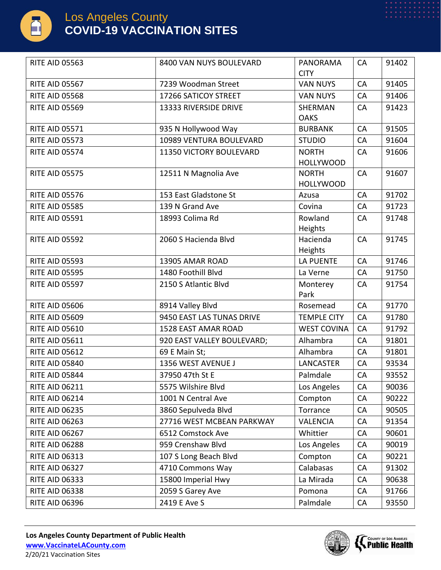

| <b>RITE AID 05563</b> | 8400 VAN NUYS BOULEVARD    | <b>PANORAMA</b>                  | CA        | 91402 |
|-----------------------|----------------------------|----------------------------------|-----------|-------|
|                       |                            | <b>CITY</b>                      |           |       |
| <b>RITE AID 05567</b> | 7239 Woodman Street        | <b>VAN NUYS</b>                  | CA        | 91405 |
| <b>RITE AID 05568</b> | 17266 SATICOY STREET       | <b>VAN NUYS</b>                  | CA        | 91406 |
| <b>RITE AID 05569</b> | 13333 RIVERSIDE DRIVE      | <b>SHERMAN</b><br><b>OAKS</b>    | CA        | 91423 |
| <b>RITE AID 05571</b> | 935 N Hollywood Way        | <b>BURBANK</b>                   | CA        | 91505 |
| <b>RITE AID 05573</b> | 10989 VENTURA BOULEVARD    | <b>STUDIO</b>                    | CA        | 91604 |
| <b>RITE AID 05574</b> | 11350 VICTORY BOULEVARD    | <b>NORTH</b><br><b>HOLLYWOOD</b> | CA        | 91606 |
| <b>RITE AID 05575</b> | 12511 N Magnolia Ave       | <b>NORTH</b>                     | CA        | 91607 |
|                       |                            | <b>HOLLYWOOD</b>                 |           |       |
| <b>RITE AID 05576</b> | 153 East Gladstone St      | Azusa                            | CA        | 91702 |
| <b>RITE AID 05585</b> | 139 N Grand Ave            | Covina                           | CA        | 91723 |
| <b>RITE AID 05591</b> | 18993 Colima Rd            | Rowland<br>Heights               | CA        | 91748 |
| <b>RITE AID 05592</b> | 2060 S Hacienda Blvd       | Hacienda<br>Heights              | CA        | 91745 |
| <b>RITE AID 05593</b> | 13905 AMAR ROAD            | <b>LA PUENTE</b>                 | CA        | 91746 |
| <b>RITE AID 05595</b> | 1480 Foothill Blvd         | La Verne                         | CA        | 91750 |
| <b>RITE AID 05597</b> | 2150 S Atlantic Blvd       | Monterey<br>Park                 | <b>CA</b> | 91754 |
| <b>RITE AID 05606</b> | 8914 Valley Blvd           | Rosemead                         | CA        | 91770 |
| <b>RITE AID 05609</b> | 9450 EAST LAS TUNAS DRIVE  | <b>TEMPLE CITY</b>               | CA        | 91780 |
| <b>RITE AID 05610</b> | 1528 EAST AMAR ROAD        | <b>WEST COVINA</b>               | CA        | 91792 |
| <b>RITE AID 05611</b> | 920 EAST VALLEY BOULEVARD; | Alhambra                         | CA        | 91801 |
| <b>RITE AID 05612</b> | 69 E Main St;              | Alhambra                         | <b>CA</b> | 91801 |
| <b>RITE AID 05840</b> | 1356 WEST AVENUE J         | <b>LANCASTER</b>                 | CA        | 93534 |
| <b>RITE AID 05844</b> | 37950 47th St E            | Palmdale                         | CA        | 93552 |
| <b>RITE AID 06211</b> | 5575 Wilshire Blvd         | Los Angeles                      | CA        | 90036 |
| <b>RITE AID 06214</b> | 1001 N Central Ave         | Compton                          | <b>CA</b> | 90222 |
| <b>RITE AID 06235</b> | 3860 Sepulveda Blvd        | Torrance                         | CA        | 90505 |
| <b>RITE AID 06263</b> | 27716 WEST MCBEAN PARKWAY  | <b>VALENCIA</b>                  | CA        | 91354 |
| <b>RITE AID 06267</b> | 6512 Comstock Ave          | Whittier                         | <b>CA</b> | 90601 |
| <b>RITE AID 06288</b> | 959 Crenshaw Blvd          | Los Angeles                      | CA        | 90019 |
| <b>RITE AID 06313</b> | 107 S Long Beach Blvd      | Compton                          | CA        | 90221 |
| <b>RITE AID 06327</b> | 4710 Commons Way           | Calabasas                        | <b>CA</b> | 91302 |
| <b>RITE AID 06333</b> | 15800 Imperial Hwy         | La Mirada                        | CA        | 90638 |
| <b>RITE AID 06338</b> | 2059 S Garey Ave           | Pomona                           | CA        | 91766 |
| <b>RITE AID 06396</b> | 2419 E Ave S               | Palmdale                         | CA        | 93550 |

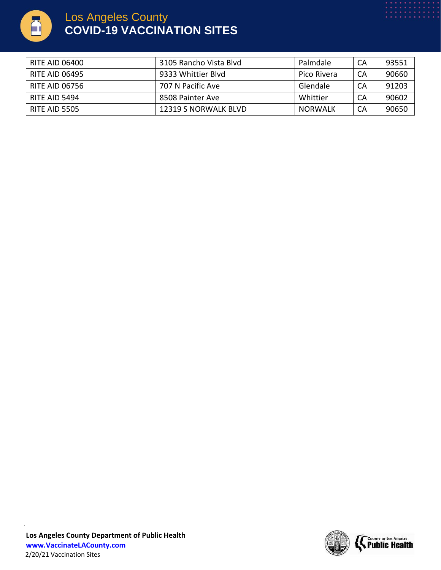

| RITE AID 06400 | 3105 Rancho Vista Blvd | Palmdale    | CA | 93551 |
|----------------|------------------------|-------------|----|-------|
| RITE AID 06495 | 9333 Whittier Blyd     | Pico Rivera | CA | 90660 |
| RITE AID 06756 | 707 N Pacific Ave      | Glendale    | CA | 91203 |
| RITE AID 5494  | 8508 Painter Ave       | Whittier    | CA | 90602 |
| RITE AID 5505  | 12319 S NORWALK BLVD   | NORWALK     | CA | 90650 |

2/20/21 Vaccination Sites

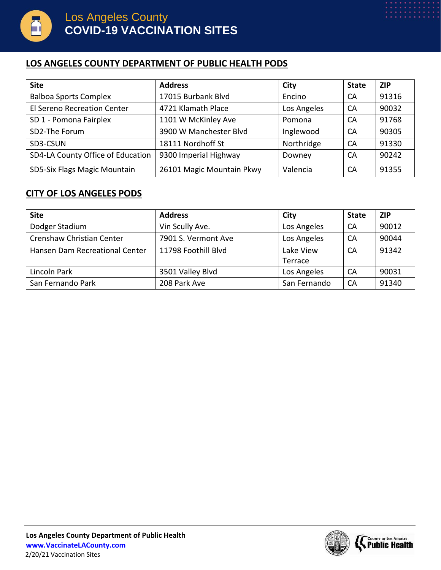

#### **LOS ANGELES COUNTY DEPARTMENT OF PUBLIC HEALTH PODS**

| <b>Site</b>                       | <b>Address</b>            | City        | <b>State</b> | <b>ZIP</b> |
|-----------------------------------|---------------------------|-------------|--------------|------------|
| <b>Balboa Sports Complex</b>      | 17015 Burbank Blvd        | Encino      | CA           | 91316      |
| El Sereno Recreation Center       | 4721 Klamath Place        | Los Angeles | CA           | 90032      |
| SD 1 - Pomona Fairplex            | 1101 W McKinley Ave       | Pomona      | CA           | 91768      |
| SD2-The Forum                     | 3900 W Manchester Blvd    | Inglewood   | CA           | 90305      |
| SD3-CSUN                          | 18111 Nordhoff St         | Northridge  | CA           | 91330      |
| SD4-LA County Office of Education | 9300 Imperial Highway     | Downey      | CA           | 90242      |
| SD5-Six Flags Magic Mountain      | 26101 Magic Mountain Pkwy | Valencia    | CA           | 91355      |

#### **CITY OF LOS ANGELES PODS**

| <b>Site</b>                    | <b>Address</b>      | City         | <b>State</b> | <b>ZIP</b> |
|--------------------------------|---------------------|--------------|--------------|------------|
| Dodger Stadium                 | Vin Scully Ave.     | Los Angeles  | CA           | 90012      |
| Crenshaw Christian Center      | 7901 S. Vermont Ave | Los Angeles  | CA           | 90044      |
| Hansen Dam Recreational Center | 11798 Foothill Blvd | Lake View    | CA           | 91342      |
|                                |                     | Terrace      |              |            |
| Lincoln Park                   | 3501 Valley Blvd    | Los Angeles  | CA           | 90031      |
| San Fernando Park              | 208 Park Ave        | San Fernando | CA           | 91340      |

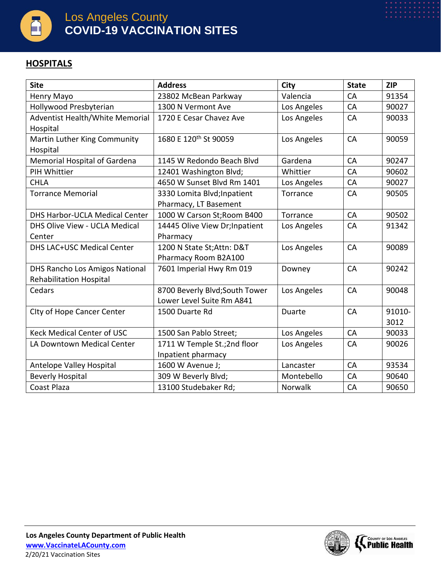

### **HOSPITALS**

| <b>Site</b>                           | <b>Address</b>                    | City        | <b>State</b> | <b>ZIP</b> |
|---------------------------------------|-----------------------------------|-------------|--------------|------------|
| Henry Mayo                            | 23802 McBean Parkway              | Valencia    | CA           | 91354      |
| Hollywood Presbyterian                | 1300 N Vermont Ave                | Los Angeles | CA           | 90027      |
| Adventist Health/White Memorial       | 1720 E Cesar Chavez Ave           | Los Angeles | CA           | 90033      |
| Hospital                              |                                   |             |              |            |
| Martin Luther King Community          | 1680 E 120 <sup>th</sup> St 90059 | Los Angeles | CA           | 90059      |
| Hospital                              |                                   |             |              |            |
| Memorial Hospital of Gardena          | 1145 W Redondo Beach Blvd         | Gardena     | CA           | 90247      |
| PIH Whittier                          | 12401 Washington Blvd;            | Whittier    | CA           | 90602      |
| <b>CHLA</b>                           | 4650 W Sunset Blvd Rm 1401        | Los Angeles | CA           | 90027      |
| <b>Torrance Memorial</b>              | 3330 Lomita Blvd; Inpatient       | Torrance    | CA           | 90505      |
|                                       | Pharmacy, LT Basement             |             |              |            |
| <b>DHS Harbor-UCLA Medical Center</b> | 1000 W Carson St; Room B400       | Torrance    | CA           | 90502      |
| DHS Olive View - UCLA Medical         | 14445 Olive View Dr; Inpatient    | Los Angeles | CA           | 91342      |
| Center                                | Pharmacy                          |             |              |            |
| <b>DHS LAC+USC Medical Center</b>     | 1200 N State St; Attn: D&T        | Los Angeles | CA           | 90089      |
|                                       | Pharmacy Room B2A100              |             |              |            |
| DHS Rancho Los Amigos National        | 7601 Imperial Hwy Rm 019          | Downey      | CA           | 90242      |
| <b>Rehabilitation Hospital</b>        |                                   |             |              |            |
| Cedars                                | 8700 Beverly Blvd; South Tower    | Los Angeles | CA           | 90048      |
|                                       | Lower Level Suite Rm A841         |             |              |            |
| City of Hope Cancer Center            | 1500 Duarte Rd                    | Duarte      | CA           | 91010-     |
|                                       |                                   |             |              | 3012       |
| <b>Keck Medical Center of USC</b>     | 1500 San Pablo Street;            | Los Angeles | CA           | 90033      |
| LA Downtown Medical Center            | 1711 W Temple St.;2nd floor       | Los Angeles | CA           | 90026      |
|                                       | Inpatient pharmacy                |             |              |            |
| Antelope Valley Hospital              | 1600 W Avenue J;                  | Lancaster   | CA           | 93534      |
| <b>Beverly Hospital</b>               | 309 W Beverly Blvd;               | Montebello  | CA           | 90640      |
| Coast Plaza                           | 13100 Studebaker Rd;              | Norwalk     | CA           | 90650      |

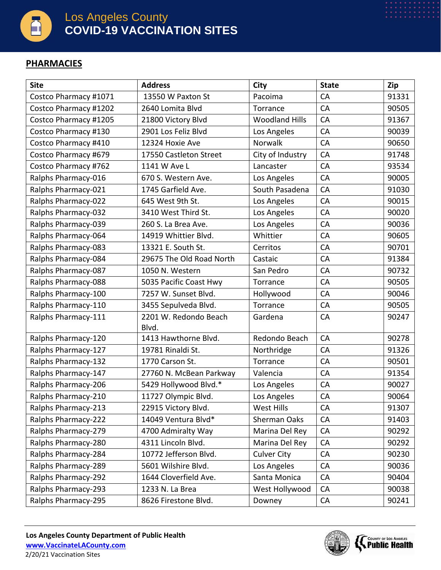

#### **PHARMACIES**

| <b>Site</b>           | <b>Address</b>           | City                  | <b>State</b> | Zip   |
|-----------------------|--------------------------|-----------------------|--------------|-------|
| Costco Pharmacy #1071 | 13550 W Paxton St        | Pacoima               | CA           | 91331 |
| Costco Pharmacy #1202 | 2640 Lomita Blvd         | Torrance              | CA           | 90505 |
| Costco Pharmacy #1205 | 21800 Victory Blvd       | <b>Woodland Hills</b> | CA           | 91367 |
| Costco Pharmacy #130  | 2901 Los Feliz Blvd      | Los Angeles           | CA           | 90039 |
| Costco Pharmacy #410  | 12324 Hoxie Ave          | Norwalk               | CA           | 90650 |
| Costco Pharmacy #679  | 17550 Castleton Street   | City of Industry      | CA           | 91748 |
| Costco Pharmacy #762  | 1141 W Ave L             | Lancaster             | CA           | 93534 |
| Ralphs Pharmacy-016   | 670 S. Western Ave.      | Los Angeles           | CA           | 90005 |
| Ralphs Pharmacy-021   | 1745 Garfield Ave.       | South Pasadena        | CA           | 91030 |
| Ralphs Pharmacy-022   | 645 West 9th St.         | Los Angeles           | CA           | 90015 |
| Ralphs Pharmacy-032   | 3410 West Third St.      | Los Angeles           | CA           | 90020 |
| Ralphs Pharmacy-039   | 260 S. La Brea Ave.      | Los Angeles           | CA           | 90036 |
| Ralphs Pharmacy-064   | 14919 Whittier Blvd.     | Whittier              | CA           | 90605 |
| Ralphs Pharmacy-083   | 13321 E. South St.       | Cerritos              | CA           | 90701 |
| Ralphs Pharmacy-084   | 29675 The Old Road North | Castaic               | CA           | 91384 |
| Ralphs Pharmacy-087   | 1050 N. Western          | San Pedro             | CA           | 90732 |
| Ralphs Pharmacy-088   | 5035 Pacific Coast Hwy   | Torrance              | CA           | 90505 |
| Ralphs Pharmacy-100   | 7257 W. Sunset Blvd.     | Hollywood             | CA           | 90046 |
| Ralphs Pharmacy-110   | 3455 Sepulveda Blvd.     | Torrance              | CA           | 90505 |
| Ralphs Pharmacy-111   | 2201 W. Redondo Beach    | Gardena               | CA           | 90247 |
|                       | Blvd.                    |                       |              |       |
| Ralphs Pharmacy-120   | 1413 Hawthorne Blvd.     | Redondo Beach         | CA           | 90278 |
| Ralphs Pharmacy-127   | 19781 Rinaldi St.        | Northridge            | CA           | 91326 |
| Ralphs Pharmacy-132   | 1770 Carson St.          | Torrance              | CA           | 90501 |
| Ralphs Pharmacy-147   | 27760 N. McBean Parkway  | Valencia              | CA           | 91354 |
| Ralphs Pharmacy-206   | 5429 Hollywood Blvd.*    | Los Angeles           | CA           | 90027 |
| Ralphs Pharmacy-210   | 11727 Olympic Blvd.      | Los Angeles           | CA           | 90064 |
| Ralphs Pharmacy-213   | 22915 Victory Blvd.      | West Hills            | CA           | 91307 |
| Ralphs Pharmacy-222   | 14049 Ventura Blvd*      | Sherman Oaks          | CA           | 91403 |
| Ralphs Pharmacy-279   | 4700 Admiralty Way       | Marina Del Rey        | CA           | 90292 |
| Ralphs Pharmacy-280   | 4311 Lincoln Blvd.       | Marina Del Rey        | CA           | 90292 |
| Ralphs Pharmacy-284   | 10772 Jefferson Blvd.    | <b>Culver City</b>    | CA           | 90230 |
| Ralphs Pharmacy-289   | 5601 Wilshire Blvd.      | Los Angeles           | CA           | 90036 |
| Ralphs Pharmacy-292   | 1644 Cloverfield Ave.    | Santa Monica          | CA           | 90404 |
| Ralphs Pharmacy-293   | 1233 N. La Brea          | West Hollywood        | <b>CA</b>    | 90038 |
| Ralphs Pharmacy-295   | 8626 Firestone Blvd.     | Downey                | CA           | 90241 |

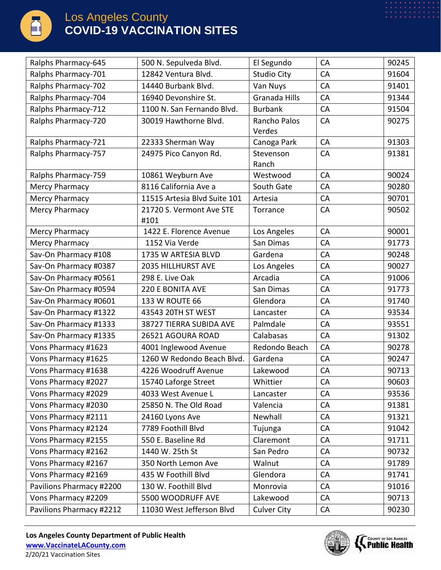

| Ralphs Pharmacy-645      | 500 N. Sepulveda Blvd.       | El Segundo           | CA | 90245 |
|--------------------------|------------------------------|----------------------|----|-------|
| Ralphs Pharmacy-701      | 12842 Ventura Blvd.          | <b>Studio City</b>   | CA | 91604 |
| Ralphs Pharmacy-702      | 14440 Burbank Blvd.          | Van Nuys             | CA | 91401 |
| Ralphs Pharmacy-704      | 16940 Devonshire St.         | <b>Granada Hills</b> | CA | 91344 |
| Ralphs Pharmacy-712      | 1100 N. San Fernando Blvd.   | <b>Burbank</b>       | CA | 91504 |
| Ralphs Pharmacy-720      | 30019 Hawthorne Blvd.        | Rancho Palos         | CA | 90275 |
|                          |                              | Verdes               |    |       |
| Ralphs Pharmacy-721      | 22333 Sherman Way            | Canoga Park          | CA | 91303 |
| Ralphs Pharmacy-757      | 24975 Pico Canyon Rd.        | Stevenson            | CA | 91381 |
|                          |                              | Ranch                |    |       |
| Ralphs Pharmacy-759      | 10861 Weyburn Ave            | Westwood             | CA | 90024 |
| Mercy Pharmacy           | 8116 California Ave a        | South Gate           | CA | 90280 |
| Mercy Pharmacy           | 11515 Artesia Blvd Suite 101 | Artesia              | CA | 90701 |
| Mercy Pharmacy           | 21720 S. Vermont Ave STE     | Torrance             | CA | 90502 |
|                          | #101                         |                      |    |       |
| Mercy Pharmacy           | 1422 E. Florence Avenue      | Los Angeles          | CA | 90001 |
| <b>Mercy Pharmacy</b>    | 1152 Via Verde               | San Dimas            | CA | 91773 |
| Sav-On Pharmacy #108     | 1735 W ARTESIA BLVD          | Gardena              | CA | 90248 |
| Sav-On Pharmacy #0387    | 2035 HILLHURST AVE           | Los Angeles          | CA | 90027 |
| Sav-On Pharmacy #0561    | 298 E. Live Oak              | Arcadia              | CA | 91006 |
| Sav-On Pharmacy #0594    | 220 E BONITA AVE             | San Dimas            | CA | 91773 |
| Sav-On Pharmacy #0601    | 133 W ROUTE 66               | Glendora             | CA | 91740 |
| Sav-On Pharmacy #1322    | 43543 20TH ST WEST           | Lancaster            | CA | 93534 |
| Sav-On Pharmacy #1333    | 38727 TIERRA SUBIDA AVE      | Palmdale             | CA | 93551 |
| Sav-On Pharmacy #1335    | 26521 AGOURA ROAD            | Calabasas            | CA | 91302 |
| Vons Pharmacy #1623      | 4001 Inglewood Avenue        | Redondo Beach        | CA | 90278 |
| Vons Pharmacy #1625      | 1260 W Redondo Beach Blvd.   | Gardena              | CA | 90247 |
| Vons Pharmacy #1638      | 4226 Woodruff Avenue         | Lakewood             | CA | 90713 |
| Vons Pharmacy #2027      | 15740 Laforge Street         | Whittier             | CA | 90603 |
| Vons Pharmacy #2029      | 4033 West Avenue L           | Lancaster            | CA | 93536 |
| Vons Pharmacy #2030      | 25850 N. The Old Road        | Valencia             | CA | 91381 |
| Vons Pharmacy #2111      | 24160 Lyons Ave              | Newhall              | CA | 91321 |
| Vons Pharmacy #2124      | 7789 Foothill Blvd           | Tujunga              | CA | 91042 |
| Vons Pharmacy #2155      | 550 E. Baseline Rd           | Claremont            | CA | 91711 |
| Vons Pharmacy #2162      | 1440 W. 25th St              | San Pedro            | CA | 90732 |
| Vons Pharmacy #2167      | 350 North Lemon Ave          | Walnut               | CA | 91789 |
| Vons Pharmacy #2169      | 435 W Foothill Blvd          | Glendora             | CA | 91741 |
| Pavilions Pharmacy #2200 | 130 W. Foothill Blvd         | Monrovia             | CA | 91016 |
| Vons Pharmacy #2209      | 5500 WOODRUFF AVE            | Lakewood             | CA | 90713 |
| Pavilions Pharmacy #2212 | 11030 West Jefferson Blvd    | <b>Culver City</b>   | CA | 90230 |

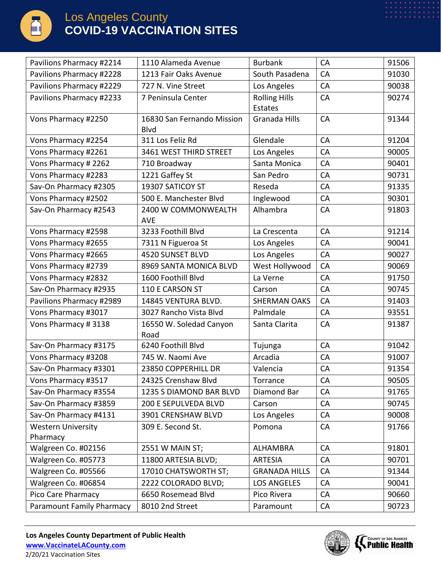

| Pavilions Pharmacy #2214              | 1110 Alameda Avenue                       | <b>Burbank</b>                  | CA        | 91506 |
|---------------------------------------|-------------------------------------------|---------------------------------|-----------|-------|
| Pavilions Pharmacy #2228              | 1213 Fair Oaks Avenue                     | South Pasadena                  | CA        | 91030 |
| Pavilions Pharmacy #2229              | 727 N. Vine Street                        | Los Angeles                     | CA        | 90038 |
| Pavilions Pharmacy #2233              | 7 Peninsula Center                        | <b>Rolling Hills</b><br>Estates | CA        | 90274 |
| Vons Pharmacy #2250                   | 16830 San Fernando Mission<br><b>Blvd</b> | Granada Hills                   | CA        | 91344 |
| Vons Pharmacy #2254                   | 311 Los Feliz Rd                          | Glendale                        | CA        | 91204 |
| Vons Pharmacy #2261                   | 3461 WEST THIRD STREET                    | Los Angeles                     | CA        | 90005 |
| Vons Pharmacy # 2262                  | 710 Broadway                              | Santa Monica                    | CA        | 90401 |
| Vons Pharmacy #2283                   | 1221 Gaffey St                            | San Pedro                       | CA        | 90731 |
| Sav-On Pharmacy #2305                 | 19307 SATICOY ST                          | Reseda                          | CA        | 91335 |
| Vons Pharmacy #2502                   | 500 E. Manchester Blvd                    | Inglewood                       | CA        | 90301 |
| Sav-On Pharmacy #2543                 | 2400 W COMMONWEALTH<br><b>AVE</b>         | Alhambra                        | CA        | 91803 |
| Vons Pharmacy #2598                   | 3233 Foothill Blvd                        | La Crescenta                    | CA        | 91214 |
| Vons Pharmacy #2655                   | 7311 N Figueroa St                        | Los Angeles                     | CA        | 90041 |
| Vons Pharmacy #2665                   | 4520 SUNSET BLVD                          | Los Angeles                     | CA        | 90027 |
| Vons Pharmacy #2739                   | 8969 SANTA MONICA BLVD                    | West Hollywood                  | CA        | 90069 |
| Vons Pharmacy #2832                   | 1600 Foothill Blvd                        | La Verne                        | CA        | 91750 |
| Sav-On Pharmacy #2935                 | 110 E CARSON ST                           | Carson                          | CA        | 90745 |
| Pavilions Pharmacy #2989              | 14845 VENTURA BLVD.                       | <b>SHERMAN OAKS</b>             | CA        | 91403 |
| Vons Pharmacy #3017                   | 3027 Rancho Vista Blvd                    | Palmdale                        | CA        | 93551 |
| Vons Pharmacy #3138                   | 16550 W. Soledad Canyon<br>Road           | Santa Clarita                   | CA        | 91387 |
| Sav-On Pharmacy #3175                 | 6240 Foothill Blvd                        | Tujunga                         | CA        | 91042 |
| Vons Pharmacy #3208                   | 745 W. Naomi Ave                          | Arcadia                         | CA        | 91007 |
| Sav-On Pharmacy #3301                 | 23850 COPPERHILL DR                       | Valencia                        | CA        | 91354 |
| Vons Pharmacy #3517                   | 24325 Crenshaw Blvd                       | Torrance                        | CA        | 90505 |
| Sav-On Pharmacy #3554                 | 1235 S DIAMOND BAR BLVD                   | Diamond Bar                     | CA        | 91765 |
| Sav-On Pharmacy #3859                 | 200 E SEPULVEDA BLVD                      | Carson                          | CA        | 90745 |
| Sav-On Pharmacy #4131                 | 3901 CRENSHAW BLVD                        | Los Angeles                     | CA        | 90008 |
| <b>Western University</b><br>Pharmacy | 309 E. Second St.                         | Pomona                          | CA        | 91766 |
| Walgreen Co. #02156                   | 2551 W MAIN ST;                           | ALHAMBRA                        | CA        | 91801 |
| Walgreen Co. #05773                   | 11800 ARTESIA BLVD;                       | <b>ARTESIA</b>                  | CA        | 90701 |
| Walgreen Co. #05566                   | 17010 CHATSWORTH ST;                      | <b>GRANADA HILLS</b>            | <b>CA</b> | 91344 |
| Walgreen Co. #06854                   | 2222 COLORADO BLVD;                       | <b>LOS ANGELES</b>              | CA        | 90041 |
| Pico Care Pharmacy                    | 6650 Rosemead Blvd                        | Pico Rivera                     | CA        | 90660 |
| Paramount Family Pharmacy             | 8010 2nd Street                           | Paramount                       | CA        | 90723 |